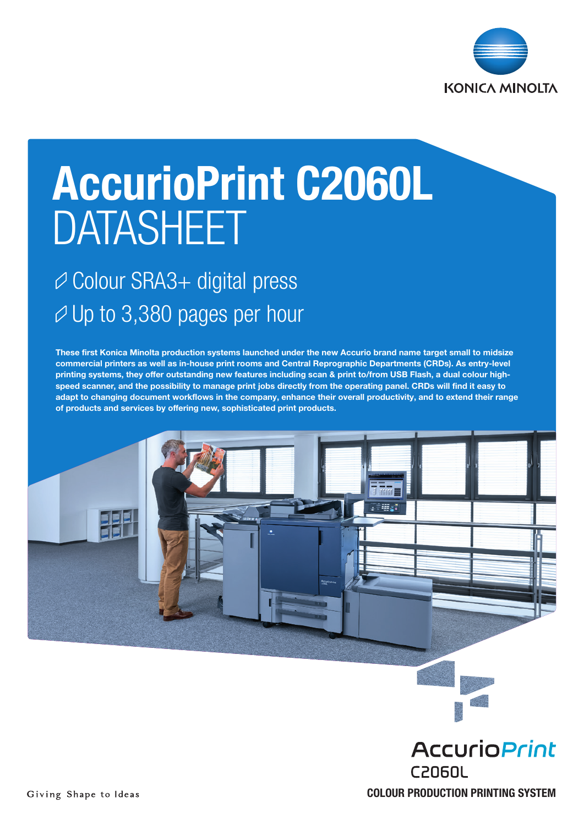

# AccurioPrint C2060L DATASHEET

### Colour SRA3+ digital press  $\varnothing$  Up to 3,380 pages per hour

These first Konica Minolta production systems launched under the new Accurio brand name target small to midsize commercial printers as well as in-house print rooms and Central Reprographic Departments (CRDs). As entry-level printing systems, they offer outstanding new features including scan & print to/from USB Flash, a dual colour highspeed scanner, and the possibility to manage print jobs directly from the operating panel. CRDs will find it easy to adapt to changing document workflows in the company, enhance their overall productivity, and to extend their range of products and services by offering new, sophisticated print products.





COLOUR PRODUCTION PRINTING SYSTEM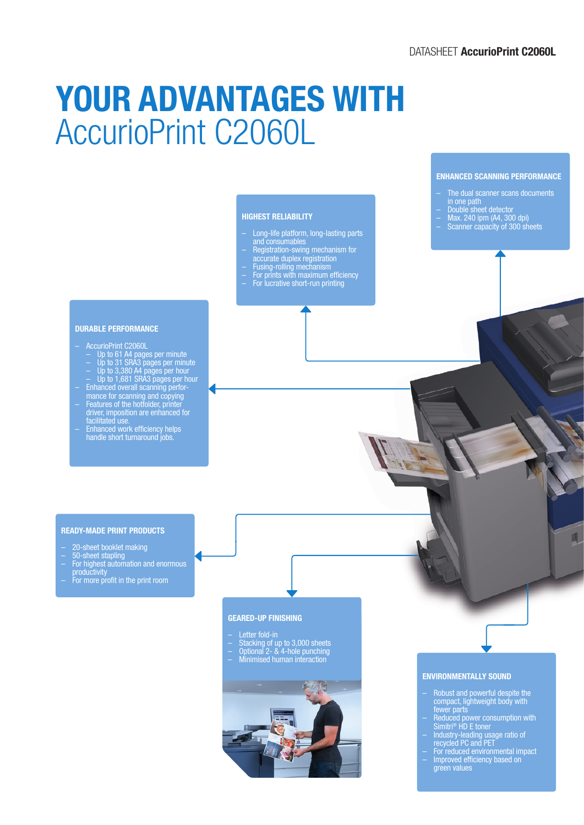## YOUR ADVANTAGES WITH AccurioPrint C2060L

#### HIGHEST RELIABILITY

- Long-life platform, long-lasting parts and consumables
- Registration-swing mechanism for
- accurate duplex registration
- Fusing-rolling mechanism
- For prints with maximum efficiency – For lucrative short-run printing

#### DURABLE PERFORMANCE

- AccurioPrint C2060L
- Up to 61 A4 pages per minute
- Up to 31 SRA3 pages per minute
- Up to 3,380 A4 pages per hour
- Up to 1,681 SRA3 pages per hour – Enhanced overall scanning perfor-
- mance for scanning and copying
- Features of the hotfolder, printer driver, imposition are enhanced for facilitated use.
- Enhanced work efficiency helps handle short turnaround jobs.

– The dual scanner scans documents in one path

ENHANCED SCANNING PERFORMANCE

- Double sheet detector
- Max. 240 ipm (A4, 300 dpi) – Scanner capacity of 300 sheets

#### READY-MADE PRINT PRODUCTS

- 20-sheet booklet making
- 50-sheet stapling
- For highest automation and enormous
- productivity
- For more profit in the print room

#### GEARED-UP FINISHING

- Letter fold-in
- Stacking of up to 3,000 sheets – Optional 2- & 4-hole punching
- Minimised human interaction
- 



#### ENVIRONMENTALLY SOUND

– Robust and powerful despite the compact, lightweight body with fewer parts

π

- Reduced power consumption with Simitri® HD E toner
- Industry-leading usage ratio of recycled PC and PET
- For reduced environmental impact – Improved efficiency based on
	- green values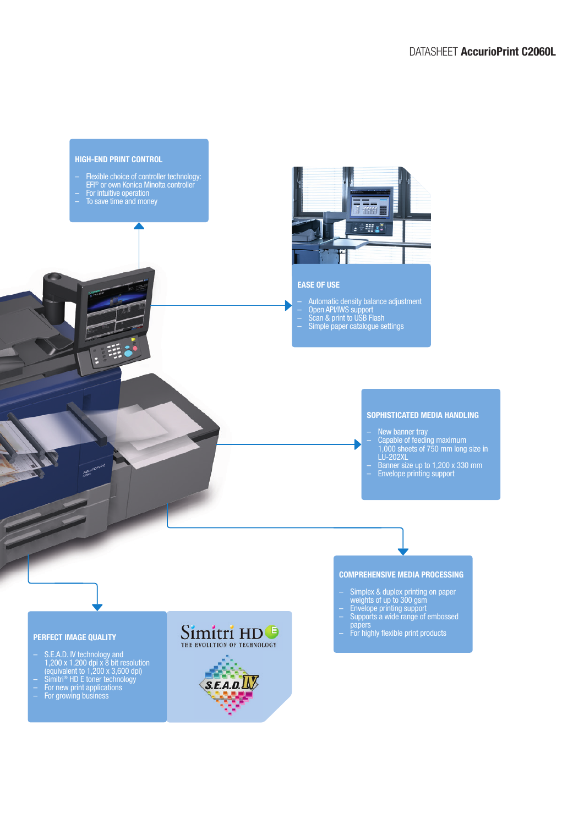### HIGH-END PRINT CONTROL – Flexible choice of controller technology: EFI® or own Konica Minolta controller – For intuitive operation – To save time and money 音音 **Sengr** EASE OF USE – Automatic density balance adjustment – Open API/IWS support – Scan & print to USB Flash – Simple paper catalogue settings SOPHISTICATED MEDIA HANDLING – New banner tray – Capable of feeding maximum 1,000 sheets of 750 mm long size in LU-202XL – Banner size up to 1,200 x 330 mm – Envelope printing support COMPREHENSIVE MEDIA PROCESSING – Simplex & duplex printing on paper weights of up to 300 gsm – Envelope printing support – Supports a wide range of embossed papers Simitri HD<sup>®</sup> – For highly flexible print productsPERFECT IMAGE QUALITY THE EVOLUTION OF TECHNOLOGY – S.E.A.D. IV technology and 1,200 x 1,200 dpi x 8 bit resolution (equivalent to 1,200 x 3,600 dpi)  $S.E.A.D.$ – Simitri® HD E toner technology

- For new print applications
- For growing business